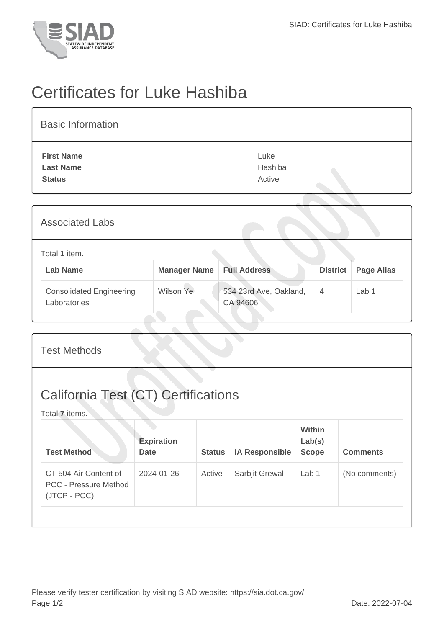

## Certificates for Luke Hashiba

| <b>Basic Information</b> |         |
|--------------------------|---------|
| <b>First Name</b>        | Luke    |
| <b>Last Name</b>         | Hashiba |
| <b>Status</b>            | Active  |

| <b>Associated Labs</b>                          |                     |                                    |                 |                   |  |
|-------------------------------------------------|---------------------|------------------------------------|-----------------|-------------------|--|
| Total 1 item.<br><b>Lab Name</b>                | <b>Manager Name</b> | <b>Full Address</b>                | <b>District</b> | <b>Page Alias</b> |  |
| <b>Consolidated Engineering</b><br>Laboratories | Wilson Ye           | 534 23rd Ave, Oakland,<br>CA 94606 | 4               | Lab <sub>1</sub>  |  |

| <b>Test Methods</b>                                                   |                                  |               |                       |                                         |                 |  |
|-----------------------------------------------------------------------|----------------------------------|---------------|-----------------------|-----------------------------------------|-----------------|--|
| <b>California Test (CT) Certifications</b><br>Total 7 items.          |                                  |               |                       |                                         |                 |  |
| <b>Test Method</b>                                                    | <b>Expiration</b><br><b>Date</b> | <b>Status</b> | <b>IA Responsible</b> | <b>Within</b><br>Lab(s)<br><b>Scope</b> | <b>Comments</b> |  |
| CT 504 Air Content of<br><b>PCC - Pressure Method</b><br>(JTCP - PCC) | 2024-01-26                       | Active        | Sarbjit Grewal        | Lab 1                                   | (No comments)   |  |
|                                                                       |                                  |               |                       |                                         |                 |  |